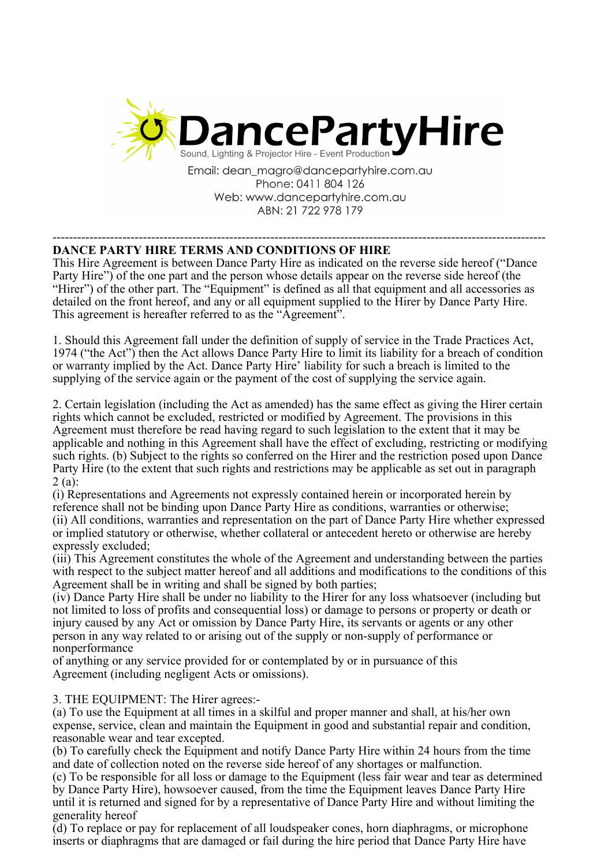

Email: dean magro@dancepartyhire.com.au Phone: 0411 804 126 Web: www.dancepartyhire.com.au ABN: 21 722 978 179

## ------------------------------------------------------------------------------------------------------------------------ **DANCE PARTY HIRE TERMS AND CONDITIONS OF HIRE**

This Hire Agreement is between Dance Party Hire as indicated on the reverse side hereof ("Dance Party Hire") of the one part and the person whose details appear on the reverse side hereof (the "Hirer") of the other part. The "Equipment" is defined as all that equipment and all accessories as detailed on the front hereof, and any or all equipment supplied to the Hirer by Dance Party Hire. This agreement is hereafter referred to as the "Agreement".

1. Should this Agreement fall under the definition of supply of service in the Trade Practices Act, 1974 ("the Act") then the Act allows Dance Party Hire to limit its liability for a breach of condition or warranty implied by the Act. Dance Party Hire' liability for such a breach is limited to the supplying of the service again or the payment of the cost of supplying the service again.

2. Certain legislation (including the Act as amended) has the same effect as giving the Hirer certain rights which cannot be excluded, restricted or modified by Agreement. The provisions in this Agreement must therefore be read having regard to such legislation to the extent that it may be applicable and nothing in this Agreement shall have the effect of excluding, restricting or modifying such rights. (b) Subject to the rights so conferred on the Hirer and the restriction posed upon Dance Party Hire (to the extent that such rights and restrictions may be applicable as set out in paragraph 2 (a):

(i) Representations and Agreements not expressly contained herein or incorporated herein by reference shall not be binding upon Dance Party Hire as conditions, warranties or otherwise; (ii) All conditions, warranties and representation on the part of Dance Party Hire whether expressed or implied statutory or otherwise, whether collateral or antecedent hereto or otherwise are hereby expressly excluded;

(iii) This Agreement constitutes the whole of the Agreement and understanding between the parties with respect to the subject matter hereof and all additions and modifications to the conditions of this Agreement shall be in writing and shall be signed by both parties;

(iv) Dance Party Hire shall be under no liability to the Hirer for any loss whatsoever (including but not limited to loss of profits and consequential loss) or damage to persons or property or death or injury caused by any Act or omission by Dance Party Hire, its servants or agents or any other person in any way related to or arising out of the supply or non-supply of performance or nonperformance

of anything or any service provided for or contemplated by or in pursuance of this Agreement (including negligent Acts or omissions).

3. THE EQUIPMENT: The Hirer agrees:-

(a) To use the Equipment at all times in a skilful and proper manner and shall, at his/her own expense, service, clean and maintain the Equipment in good and substantial repair and condition, reasonable wear and tear excepted.

(b) To carefully check the Equipment and notify Dance Party Hire within 24 hours from the time and date of collection noted on the reverse side hereof of any shortages or malfunction.

(c) To be responsible for all loss or damage to the Equipment (less fair wear and tear as determined by Dance Party Hire), howsoever caused, from the time the Equipment leaves Dance Party Hire until it is returned and signed for by a representative of Dance Party Hire and without limiting the generality hereof

(d) To replace or pay for replacement of all loudspeaker cones, horn diaphragms, or microphone inserts or diaphragms that are damaged or fail during the hire period that Dance Party Hire have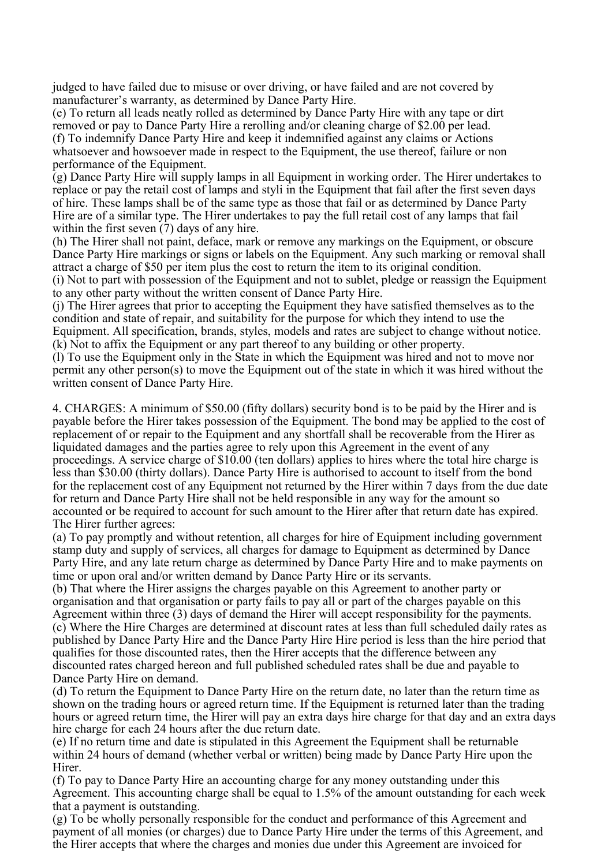judged to have failed due to misuse or over driving, or have failed and are not covered by manufacturer's warranty, as determined by Dance Party Hire.

(e) To return all leads neatly rolled as determined by Dance Party Hire with any tape or dirt removed or pay to Dance Party Hire a rerolling and/or cleaning charge of \$2.00 per lead. (f) To indemnify Dance Party Hire and keep it indemnified against any claims or Actions whatsoever and howsoever made in respect to the Equipment, the use thereof, failure or non performance of the Equipment.

(g) Dance Party Hire will supply lamps in all Equipment in working order. The Hirer undertakes to replace or pay the retail cost of lamps and styli in the Equipment that fail after the first seven days of hire. These lamps shall be of the same type as those that fail or as determined by Dance Party Hire are of a similar type. The Hirer undertakes to pay the full retail cost of any lamps that fail within the first seven (7) days of any hire.

(h) The Hirer shall not paint, deface, mark or remove any markings on the Equipment, or obscure Dance Party Hire markings or signs or labels on the Equipment. Any such marking or removal shall attract a charge of \$50 per item plus the cost to return the item to its original condition.

(i) Not to part with possession of the Equipment and not to sublet, pledge or reassign the Equipment to any other party without the written consent of Dance Party Hire.

(j) The Hirer agrees that prior to accepting the Equipment they have satisfied themselves as to the condition and state of repair, and suitability for the purpose for which they intend to use the Equipment. All specification, brands, styles, models and rates are subject to change without notice. (k) Not to affix the Equipment or any part thereof to any building or other property.

(l) To use the Equipment only in the State in which the Equipment was hired and not to move nor permit any other person(s) to move the Equipment out of the state in which it was hired without the written consent of Dance Party Hire.

4. CHARGES: A minimum of \$50.00 (fifty dollars) security bond is to be paid by the Hirer and is payable before the Hirer takes possession of the Equipment. The bond may be applied to the cost of replacement of or repair to the Equipment and any shortfall shall be recoverable from the Hirer as liquidated damages and the parties agree to rely upon this Agreement in the event of any proceedings. A service charge of \$10.00 (ten dollars) applies to hires where the total hire charge is less than \$30.00 (thirty dollars). Dance Party Hire is authorised to account to itself from the bond for the replacement cost of any Equipment not returned by the Hirer within 7 days from the due date for return and Dance Party Hire shall not be held responsible in any way for the amount so accounted or be required to account for such amount to the Hirer after that return date has expired. The Hirer further agrees:

(a) To pay promptly and without retention, all charges for hire of Equipment including government stamp duty and supply of services, all charges for damage to Equipment as determined by Dance Party Hire, and any late return charge as determined by Dance Party Hire and to make payments on time or upon oral and/or written demand by Dance Party Hire or its servants.

(b) That where the Hirer assigns the charges payable on this Agreement to another party or organisation and that organisation or party fails to pay all or part of the charges payable on this Agreement within three (3) days of demand the Hirer will accept responsibility for the payments. (c) Where the Hire Charges are determined at discount rates at less than full scheduled daily rates as published by Dance Party Hire and the Dance Party Hire Hire period is less than the hire period that qualifies for those discounted rates, then the Hirer accepts that the difference between any discounted rates charged hereon and full published scheduled rates shall be due and payable to Dance Party Hire on demand.

(d) To return the Equipment to Dance Party Hire on the return date, no later than the return time as shown on the trading hours or agreed return time. If the Equipment is returned later than the trading hours or agreed return time, the Hirer will pay an extra days hire charge for that day and an extra days hire charge for each 24 hours after the due return date.

(e) If no return time and date is stipulated in this Agreement the Equipment shall be returnable within 24 hours of demand (whether verbal or written) being made by Dance Party Hire upon the Hirer.

(f) To pay to Dance Party Hire an accounting charge for any money outstanding under this Agreement. This accounting charge shall be equal to 1.5% of the amount outstanding for each week that a payment is outstanding.

(g) To be wholly personally responsible for the conduct and performance of this Agreement and payment of all monies (or charges) due to Dance Party Hire under the terms of this Agreement, and the Hirer accepts that where the charges and monies due under this Agreement are invoiced for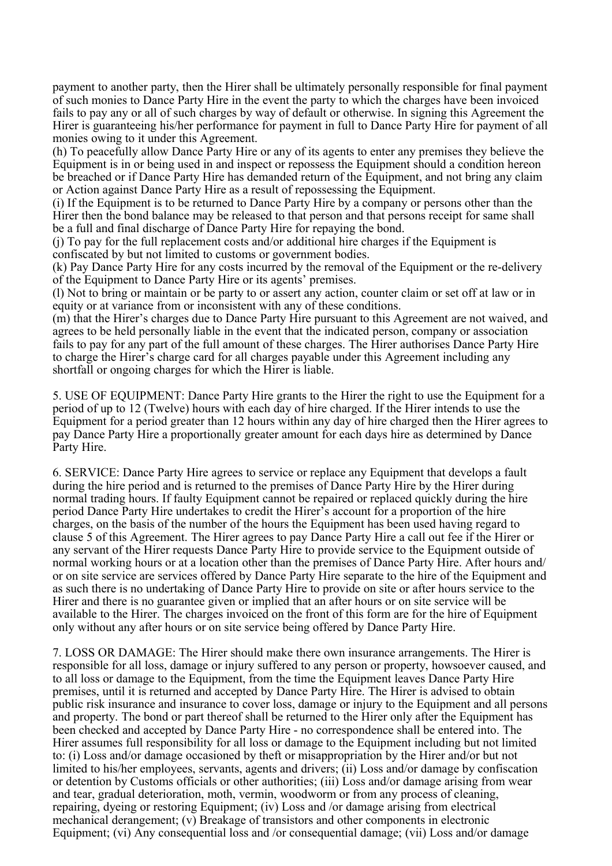payment to another party, then the Hirer shall be ultimately personally responsible for final payment of such monies to Dance Party Hire in the event the party to which the charges have been invoiced fails to pay any or all of such charges by way of default or otherwise. In signing this Agreement the Hirer is guaranteeing his/her performance for payment in full to Dance Party Hire for payment of all monies owing to it under this Agreement.

(h) To peacefully allow Dance Party Hire or any of its agents to enter any premises they believe the Equipment is in or being used in and inspect or repossess the Equipment should a condition hereon be breached or if Dance Party Hire has demanded return of the Equipment, and not bring any claim or Action against Dance Party Hire as a result of repossessing the Equipment.

(i) If the Equipment is to be returned to Dance Party Hire by a company or persons other than the Hirer then the bond balance may be released to that person and that persons receipt for same shall be a full and final discharge of Dance Party Hire for repaying the bond.

(j) To pay for the full replacement costs and/or additional hire charges if the Equipment is confiscated by but not limited to customs or government bodies.

(k) Pay Dance Party Hire for any costs incurred by the removal of the Equipment or the re-delivery of the Equipment to Dance Party Hire or its agents' premises.

(l) Not to bring or maintain or be party to or assert any action, counter claim or set off at law or in equity or at variance from or inconsistent with any of these conditions.

(m) that the Hirer's charges due to Dance Party Hire pursuant to this Agreement are not waived, and agrees to be held personally liable in the event that the indicated person, company or association fails to pay for any part of the full amount of these charges. The Hirer authorises Dance Party Hire to charge the Hirer's charge card for all charges payable under this Agreement including any shortfall or ongoing charges for which the Hirer is liable.

5. USE OF EQUIPMENT: Dance Party Hire grants to the Hirer the right to use the Equipment for a period of up to 12 (Twelve) hours with each day of hire charged. If the Hirer intends to use the Equipment for a period greater than 12 hours within any day of hire charged then the Hirer agrees to pay Dance Party Hire a proportionally greater amount for each days hire as determined by Dance Party Hire.

6. SERVICE: Dance Party Hire agrees to service or replace any Equipment that develops a fault during the hire period and is returned to the premises of Dance Party Hire by the Hirer during normal trading hours. If faulty Equipment cannot be repaired or replaced quickly during the hire period Dance Party Hire undertakes to credit the Hirer's account for a proportion of the hire charges, on the basis of the number of the hours the Equipment has been used having regard to clause 5 of this Agreement. The Hirer agrees to pay Dance Party Hire a call out fee if the Hirer or any servant of the Hirer requests Dance Party Hire to provide service to the Equipment outside of normal working hours or at a location other than the premises of Dance Party Hire. After hours and/ or on site service are services offered by Dance Party Hire separate to the hire of the Equipment and as such there is no undertaking of Dance Party Hire to provide on site or after hours service to the Hirer and there is no guarantee given or implied that an after hours or on site service will be available to the Hirer. The charges invoiced on the front of this form are for the hire of Equipment only without any after hours or on site service being offered by Dance Party Hire.

7. LOSS OR DAMAGE: The Hirer should make there own insurance arrangements. The Hirer is responsible for all loss, damage or injury suffered to any person or property, howsoever caused, and to all loss or damage to the Equipment, from the time the Equipment leaves Dance Party Hire premises, until it is returned and accepted by Dance Party Hire. The Hirer is advised to obtain public risk insurance and insurance to cover loss, damage or injury to the Equipment and all persons and property. The bond or part thereof shall be returned to the Hirer only after the Equipment has been checked and accepted by Dance Party Hire - no correspondence shall be entered into. The Hirer assumes full responsibility for all loss or damage to the Equipment including but not limited to: (i) Loss and/or damage occasioned by theft or misappropriation by the Hirer and/or but not limited to his/her employees, servants, agents and drivers; (ii) Loss and/or damage by confiscation or detention by Customs officials or other authorities; (iii) Loss and/or damage arising from wear and tear, gradual deterioration, moth, vermin, woodworm or from any process of cleaning, repairing, dyeing or restoring Equipment; (iv) Loss and /or damage arising from electrical mechanical derangement; (v) Breakage of transistors and other components in electronic Equipment; (vi) Any consequential loss and /or consequential damage; (vii) Loss and/or damage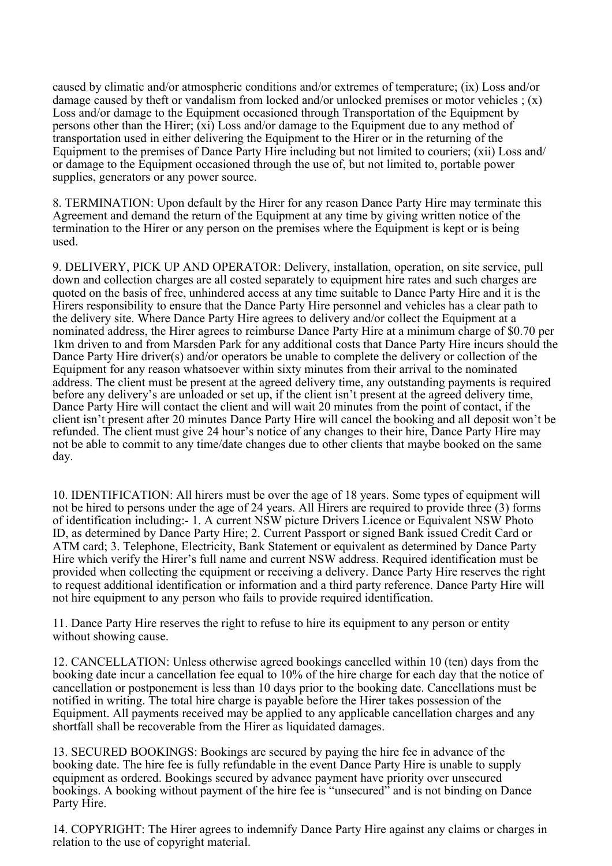caused by climatic and/or atmospheric conditions and/or extremes of temperature; (ix) Loss and/or damage caused by theft or vandalism from locked and/or unlocked premises or motor vehicles  $( x )$ Loss and/or damage to the Equipment occasioned through Transportation of the Equipment by persons other than the Hirer; (xi) Loss and/or damage to the Equipment due to any method of transportation used in either delivering the Equipment to the Hirer or in the returning of the Equipment to the premises of Dance Party Hire including but not limited to couriers; (xii) Loss and/ or damage to the Equipment occasioned through the use of, but not limited to, portable power supplies, generators or any power source.

8. TERMINATION: Upon default by the Hirer for any reason Dance Party Hire may terminate this Agreement and demand the return of the Equipment at any time by giving written notice of the termination to the Hirer or any person on the premises where the Equipment is kept or is being used.

9. DELIVERY, PICK UP AND OPERATOR: Delivery, installation, operation, on site service, pull down and collection charges are all costed separately to equipment hire rates and such charges are quoted on the basis of free, unhindered access at any time suitable to Dance Party Hire and it is the Hirers responsibility to ensure that the Dance Party Hire personnel and vehicles has a clear path to the delivery site. Where Dance Party Hire agrees to delivery and/or collect the Equipment at a nominated address, the Hirer agrees to reimburse Dance Party Hire at a minimum charge of \$0.70 per 1km driven to and from Marsden Park for any additional costs that Dance Party Hire incurs should the Dance Party Hire driver(s) and/or operators be unable to complete the delivery or collection of the Equipment for any reason whatsoever within sixty minutes from their arrival to the nominated address. The client must be present at the agreed delivery time, any outstanding payments is required before any delivery's are unloaded or set up, if the client isn't present at the agreed delivery time, Dance Party Hire will contact the client and will wait 20 minutes from the point of contact, if the client isn't present after 20 minutes Dance Party Hire will cancel the booking and all deposit won't be refunded. The client must give 24 hour's notice of any changes to their hire, Dance Party Hire may not be able to commit to any time/date changes due to other clients that maybe booked on the same day.

10. IDENTIFICATION: All hirers must be over the age of 18 years. Some types of equipment will not be hired to persons under the age of 24 years. All Hirers are required to provide three (3) forms of identification including:- 1. A current NSW picture Drivers Licence or Equivalent NSW Photo ID, as determined by Dance Party Hire; 2. Current Passport or signed Bank issued Credit Card or ATM card; 3. Telephone, Electricity, Bank Statement or equivalent as determined by Dance Party Hire which verify the Hirer's full name and current NSW address. Required identification must be provided when collecting the equipment or receiving a delivery. Dance Party Hire reserves the right to request additional identification or information and a third party reference. Dance Party Hire will not hire equipment to any person who fails to provide required identification.

11. Dance Party Hire reserves the right to refuse to hire its equipment to any person or entity without showing cause.

12. CANCELLATION: Unless otherwise agreed bookings cancelled within 10 (ten) days from the booking date incur a cancellation fee equal to 10% of the hire charge for each day that the notice of cancellation or postponement is less than 10 days prior to the booking date. Cancellations must be notified in writing. The total hire charge is payable before the Hirer takes possession of the Equipment. All payments received may be applied to any applicable cancellation charges and any shortfall shall be recoverable from the Hirer as liquidated damages.

13. SECURED BOOKINGS: Bookings are secured by paying the hire fee in advance of the booking date. The hire fee is fully refundable in the event Dance Party Hire is unable to supply equipment as ordered. Bookings secured by advance payment have priority over unsecured bookings. A booking without payment of the hire fee is "unsecured" and is not binding on Dance Party Hire.

14. COPYRIGHT: The Hirer agrees to indemnify Dance Party Hire against any claims or charges in relation to the use of copyright material.